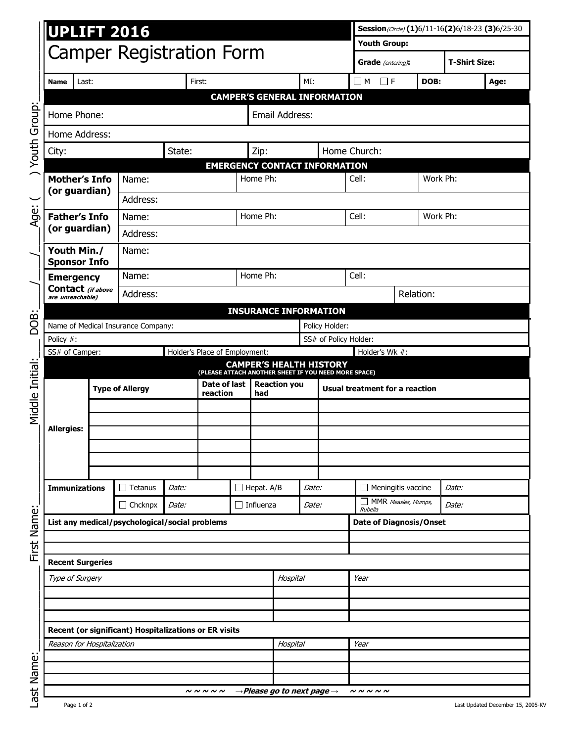|                                             | <b>UPLIFT 2016</b>                                                                     |               |                                                  |                                 |                                    |                |                                                    | Session(Circle) (1)6/11-16(2)6/18-23 (3)6/25-30 |                                       |                                |                                |      |                      |      |
|---------------------------------------------|----------------------------------------------------------------------------------------|---------------|--------------------------------------------------|---------------------------------|------------------------------------|----------------|----------------------------------------------------|-------------------------------------------------|---------------------------------------|--------------------------------|--------------------------------|------|----------------------|------|
|                                             |                                                                                        |               |                                                  |                                 |                                    |                |                                                    |                                                 |                                       | <b>Youth Group:</b>            |                                |      |                      |      |
|                                             | <b>Camper Registration Form</b>                                                        |               |                                                  |                                 |                                    |                |                                                    |                                                 |                                       |                                | Grade (entering):              |      | <b>T-Shirt Size:</b> |      |
|                                             | Last:<br>Name                                                                          |               |                                                  |                                 | First:                             |                |                                                    |                                                 | MI:                                   |                                | $\Box$ M $\Box$ f              | DOB: |                      | Age: |
|                                             | <b>CAMPER'S GENERAL INFORMATION</b>                                                    |               |                                                  |                                 |                                    |                |                                                    |                                                 |                                       |                                |                                |      |                      |      |
| Youth Group                                 | Home Phone:                                                                            |               |                                                  |                                 |                                    | Email Address: |                                                    |                                                 |                                       |                                |                                |      |                      |      |
|                                             | Home Address:                                                                          |               |                                                  |                                 |                                    |                |                                                    |                                                 |                                       |                                |                                |      |                      |      |
|                                             | City:                                                                                  |               |                                                  | State:                          |                                    |                | Zip:                                               |                                                 |                                       | Home Church:                   |                                |      |                      |      |
|                                             | <b>Mother's Info</b><br>(or guardian)                                                  |               | <b>EMERGENCY CONTACT INFORMATION</b><br>Home Ph: |                                 |                                    |                |                                                    |                                                 |                                       | Work Ph:                       |                                |      |                      |      |
| Age:                                        |                                                                                        |               | Name:                                            |                                 |                                    |                |                                                    |                                                 | Cell:                                 |                                |                                |      |                      |      |
|                                             |                                                                                        |               | Address:                                         |                                 |                                    |                |                                                    |                                                 |                                       |                                |                                |      |                      |      |
|                                             | <b>Father's Info</b>                                                                   |               | Name:                                            |                                 |                                    |                | Home Ph:                                           |                                                 |                                       | Cell:<br>Work Ph:              |                                |      |                      |      |
|                                             |                                                                                        | (or guardian) |                                                  | Address:                        |                                    |                |                                                    |                                                 |                                       |                                |                                |      |                      |      |
| Youth Min./<br>Name:<br><b>Sponsor Info</b> |                                                                                        |               |                                                  |                                 |                                    |                |                                                    |                                                 |                                       |                                |                                |      |                      |      |
|                                             | <b>Emergency</b><br>Contact (if above                                                  |               | Name:                                            |                                 |                                    | Home Ph:       |                                                    | Cell:                                           |                                       |                                |                                |      |                      |      |
|                                             |                                                                                        |               | Address:                                         |                                 |                                    |                |                                                    | Relation:                                       |                                       |                                |                                |      |                      |      |
|                                             | are unreachable)<br><b>INSURANCE INFORMATION</b>                                       |               |                                                  |                                 |                                    |                |                                                    |                                                 |                                       |                                |                                |      |                      |      |
| DOB:                                        | Name of Medical Insurance Company:<br>Policy Holder:                                   |               |                                                  |                                 |                                    |                |                                                    |                                                 |                                       |                                |                                |      |                      |      |
|                                             | Policy #:                                                                              |               |                                                  |                                 |                                    |                |                                                    | SS# of Policy Holder:                           |                                       |                                |                                |      |                      |      |
|                                             | SS# of Camper:<br>Holder's Wk #:<br>Holder's Place of Employment:                      |               |                                                  |                                 |                                    |                |                                                    |                                                 |                                       |                                |                                |      |                      |      |
|                                             | <b>CAMPER'S HEALTH HISTORY</b><br>(PLEASE ATTACH ANOTHER SHEET IF YOU NEED MORE SPACE) |               |                                                  |                                 |                                    |                |                                                    |                                                 |                                       |                                |                                |      |                      |      |
| Middle Initial:                             |                                                                                        |               | <b>Type of Allergy</b>                           | Date of last<br>reaction<br>had |                                    |                | <b>Reaction you</b>                                |                                                 | <b>Usual treatment for a reaction</b> |                                |                                |      |                      |      |
|                                             |                                                                                        |               |                                                  |                                 |                                    |                |                                                    |                                                 |                                       |                                |                                |      |                      |      |
|                                             | <b>Allergies:</b>                                                                      |               |                                                  |                                 |                                    |                |                                                    |                                                 |                                       |                                |                                |      |                      |      |
|                                             |                                                                                        |               |                                                  |                                 |                                    |                |                                                    |                                                 |                                       |                                |                                |      |                      |      |
|                                             |                                                                                        |               |                                                  |                                 |                                    |                |                                                    |                                                 |                                       |                                |                                |      |                      |      |
|                                             |                                                                                        |               |                                                  |                                 |                                    |                |                                                    |                                                 |                                       |                                |                                |      |                      |      |
|                                             | <b>Immunizations</b>                                                                   |               | $\Box$ Tetanus                                   | Date:                           |                                    |                | $\Box$ Hepat. A/B                                  |                                                 | Date:                                 |                                | $\Box$ Meningitis vaccine      |      | Date:                |      |
|                                             | $\Box$ Chcknpx                                                                         |               |                                                  | Date:                           |                                    |                | $\Box$ Influenza                                   |                                                 | <i>Date:</i>                          |                                | MMR Measles, Mumps,<br>Rubella |      | Date:                |      |
| First Name:                                 | List any medical/psychological/social problems                                         |               |                                                  |                                 |                                    |                |                                                    |                                                 |                                       | <b>Date of Diagnosis/Onset</b> |                                |      |                      |      |
|                                             |                                                                                        |               |                                                  |                                 |                                    |                |                                                    |                                                 |                                       |                                |                                |      |                      |      |
|                                             | <b>Recent Surgeries</b>                                                                |               |                                                  |                                 |                                    |                |                                                    |                                                 |                                       |                                |                                |      |                      |      |
|                                             | Type of Surgery                                                                        |               |                                                  |                                 |                                    |                | Hospital                                           |                                                 | Year                                  |                                |                                |      |                      |      |
|                                             |                                                                                        |               |                                                  |                                 |                                    |                |                                                    |                                                 |                                       |                                |                                |      |                      |      |
|                                             |                                                                                        |               |                                                  |                                 |                                    |                |                                                    |                                                 |                                       |                                |                                |      |                      |      |
|                                             | Recent (or significant) Hospitalizations or ER visits                                  |               |                                                  |                                 |                                    |                |                                                    |                                                 |                                       |                                |                                |      |                      |      |
|                                             | Reason for Hospitalization                                                             |               |                                                  |                                 |                                    |                |                                                    | Hospital                                        |                                       | Year                           |                                |      |                      |      |
| Name:                                       |                                                                                        |               |                                                  |                                 |                                    |                |                                                    |                                                 |                                       |                                |                                |      |                      |      |
|                                             |                                                                                        |               |                                                  |                                 |                                    |                |                                                    |                                                 |                                       |                                |                                |      |                      |      |
| $\overline{5}$                              |                                                                                        |               |                                                  |                                 | $\sim$ $\sim$ $\sim$ $\sim$ $\sim$ |                | $\rightarrow$ Please go to next page $\rightarrow$ |                                                 |                                       |                                | N N N N                        |      |                      |      |